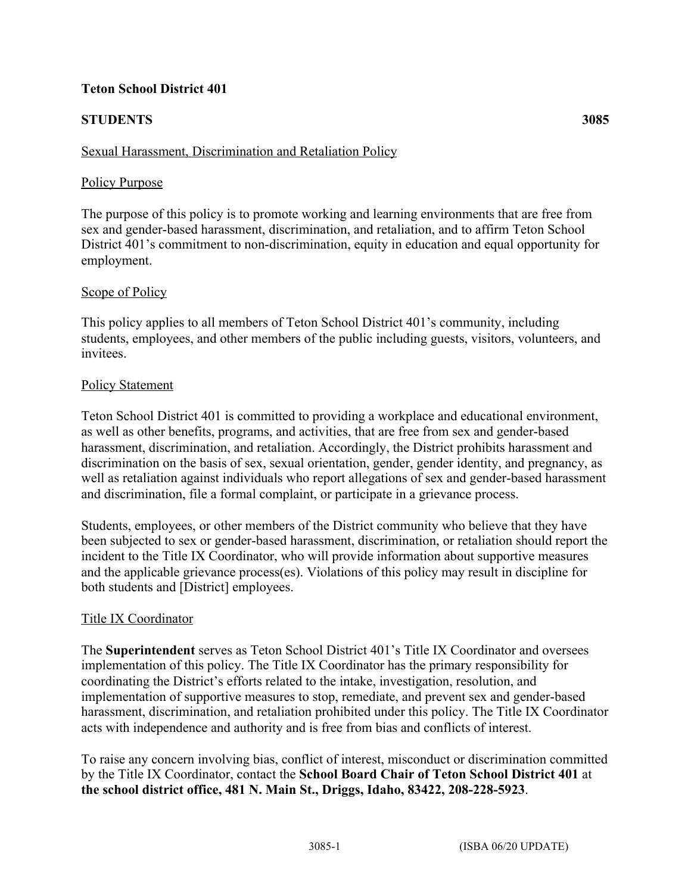# **Teton School District 401**

# **STUDENTS 3085**

### Sexual Harassment, Discrimination and Retaliation Policy

### Policy Purpose

The purpose of this policy is to promote working and learning environments that are free from sex and gender-based harassment, discrimination, and retaliation, and to affirm Teton School District 401's commitment to non-discrimination, equity in education and equal opportunity for employment.

### Scope of Policy

This policy applies to all members of Teton School District 401's community, including students, employees, and other members of the public including guests, visitors, volunteers, and invitees.

### Policy Statement

Teton School District 401 is committed to providing a workplace and educational environment, as well as other benefits, programs, and activities, that are free from sex and gender-based harassment, discrimination, and retaliation. Accordingly, the District prohibits harassment and discrimination on the basis of sex, sexual orientation, gender, gender identity, and pregnancy, as well as retaliation against individuals who report allegations of sex and gender-based harassment and discrimination, file a formal complaint, or participate in a grievance process.

Students, employees, or other members of the District community who believe that they have been subjected to sex or gender-based harassment, discrimination, or retaliation should report the incident to the Title IX Coordinator, who will provide information about supportive measures and the applicable grievance process(es). Violations of this policy may result in discipline for both students and [District] employees.

### Title IX Coordinator

The **Superintendent** serves as Teton School District 401's Title IX Coordinator and oversees implementation of this policy. The Title IX Coordinator has the primary responsibility for coordinating the District's efforts related to the intake, investigation, resolution, and implementation of supportive measures to stop, remediate, and prevent sex and gender-based harassment, discrimination, and retaliation prohibited under this policy. The Title IX Coordinator acts with independence and authority and is free from bias and conflicts of interest.

To raise any concern involving bias, conflict of interest, misconduct or discrimination committed by the Title IX Coordinator, contact the **School Board Chair of Teton School District 401** at **the school district office, 481 N. Main St., Driggs, Idaho, 83422, 208-228-5923**.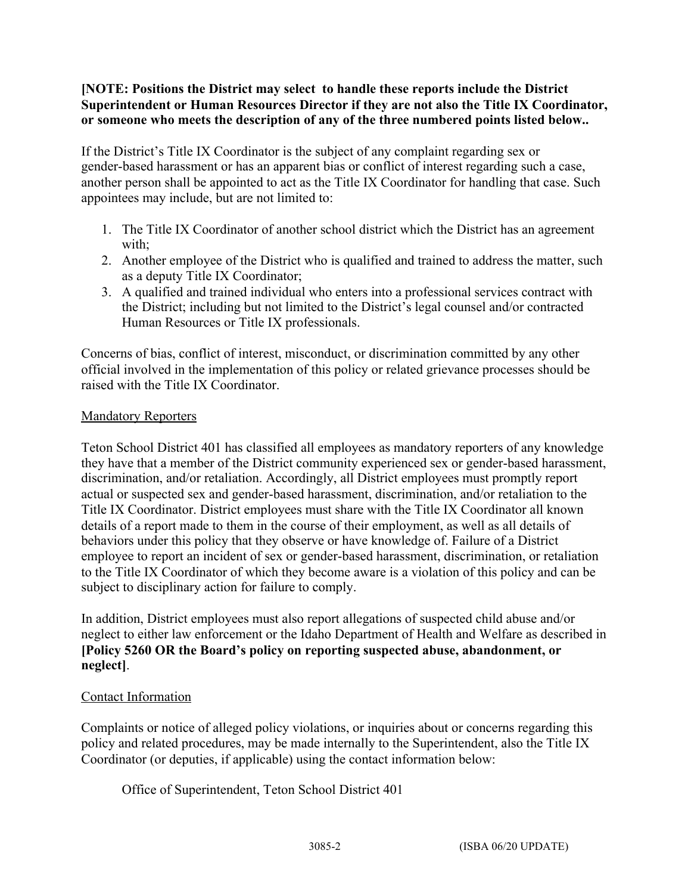# **[NOTE: Positions the District may select to handle these reports include the District Superintendent or Human Resources Director if they are not also the Title IX Coordinator, or someone who meets the description of any of the three numbered points listed below..**

If the District's Title IX Coordinator is the subject of any complaint regarding sex or gender-based harassment or has an apparent bias or conflict of interest regarding such a case, another person shall be appointed to act as the Title IX Coordinator for handling that case. Such appointees may include, but are not limited to:

- 1. The Title IX Coordinator of another school district which the District has an agreement with:
- 2. Another employee of the District who is qualified and trained to address the matter, such as a deputy Title IX Coordinator;
- 3. A qualified and trained individual who enters into a professional services contract with the District; including but not limited to the District's legal counsel and/or contracted Human Resources or Title IX professionals.

Concerns of bias, conflict of interest, misconduct, or discrimination committed by any other official involved in the implementation of this policy or related grievance processes should be raised with the Title IX Coordinator.

# Mandatory Reporters

Teton School District 401 has classified all employees as mandatory reporters of any knowledge they have that a member of the District community experienced sex or gender-based harassment, discrimination, and/or retaliation. Accordingly, all District employees must promptly report actual or suspected sex and gender-based harassment, discrimination, and/or retaliation to the Title IX Coordinator. District employees must share with the Title IX Coordinator all known details of a report made to them in the course of their employment, as well as all details of behaviors under this policy that they observe or have knowledge of. Failure of a District employee to report an incident of sex or gender-based harassment, discrimination, or retaliation to the Title IX Coordinator of which they become aware is a violation of this policy and can be subject to disciplinary action for failure to comply.

In addition, District employees must also report allegations of suspected child abuse and/or neglect to either law enforcement or the Idaho Department of Health and Welfare as described in **[Policy 5260 OR the Board's policy on reporting suspected abuse, abandonment, or neglect]**.

# Contact Information

Complaints or notice of alleged policy violations, or inquiries about or concerns regarding this policy and related procedures, may be made internally to the Superintendent, also the Title IX Coordinator (or deputies, if applicable) using the contact information below:

Office of Superintendent, Teton School District 401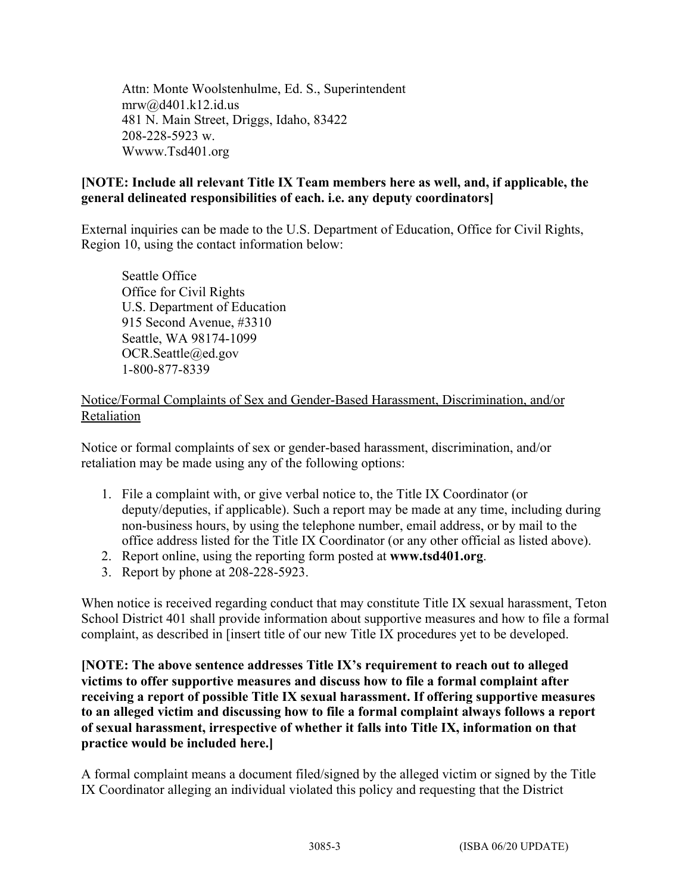Attn: Monte Woolstenhulme, Ed. S., Superintendent  $mrw@d401.k12.id.us$ 481 N. Main Street, Driggs, Idaho, 83422 208-228-5923 w. Wwww.Tsd401.org

# **[NOTE: Include all relevant Title IX Team members here as well, and, if applicable, the general delineated responsibilities of each. i.e. any deputy coordinators]**

External inquiries can be made to the U.S. Department of Education, Office for Civil Rights, Region 10, using the contact information below:

Seattle Office Office for Civil Rights U.S. Department of Education 915 Second Avenue, #3310 Seattle, WA 98174-1099 OCR.Seattle@ed.gov 1-800-877-8339

# Notice/Formal Complaints of Sex and Gender-Based Harassment, Discrimination, and/or Retaliation

Notice or formal complaints of sex or gender-based harassment, discrimination, and/or retaliation may be made using any of the following options:

- 1. File a complaint with, or give verbal notice to, the Title IX Coordinator (or deputy/deputies, if applicable). Such a report may be made at any time, including during non-business hours, by using the telephone number, email address, or by mail to the office address listed for the Title IX Coordinator (or any other official as listed above).
- 2. Report online, using the reporting form posted at **www.tsd401.org**.
- 3. Report by phone at 208-228-5923.

When notice is received regarding conduct that may constitute Title IX sexual harassment, Teton School District 401 shall provide information about supportive measures and how to file a formal complaint, as described in [insert title of our new Title IX procedures yet to be developed.

**[NOTE: The above sentence addresses Title IX's requirement to reach out to alleged victims to offer supportive measures and discuss how to file a formal complaint after receiving a report of possible Title IX sexual harassment. If offering supportive measures to an alleged victim and discussing how to file a formal complaint always follows a report of sexual harassment, irrespective of whether it falls into Title IX, information on that practice would be included here.]**

A formal complaint means a document filed/signed by the alleged victim or signed by the Title IX Coordinator alleging an individual violated this policy and requesting that the District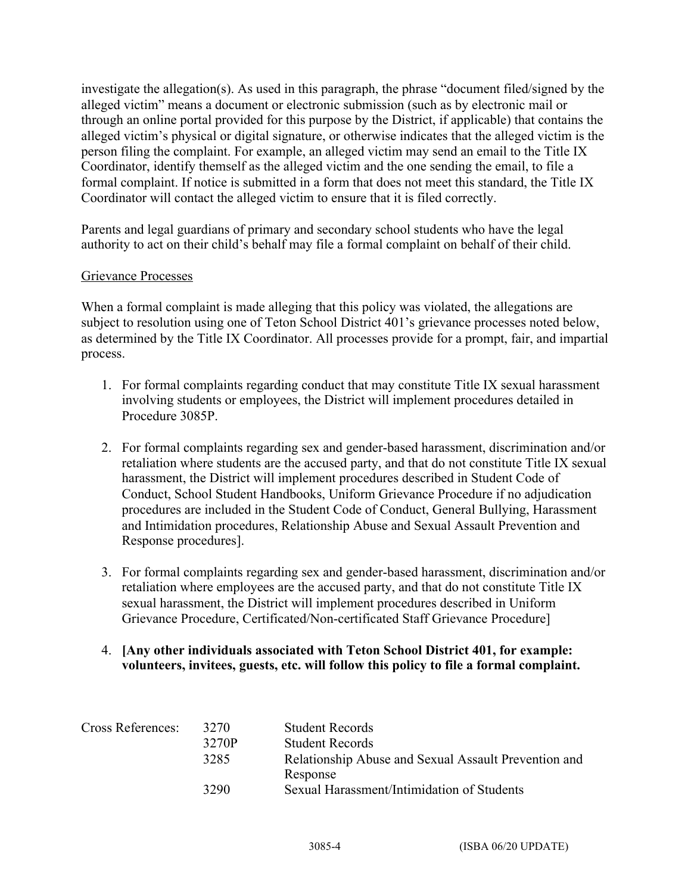investigate the allegation(s). As used in this paragraph, the phrase "document filed/signed by the alleged victim" means a document or electronic submission (such as by electronic mail or through an online portal provided for this purpose by the District, if applicable) that contains the alleged victim's physical or digital signature, or otherwise indicates that the alleged victim is the person filing the complaint. For example, an alleged victim may send an email to the Title IX Coordinator, identify themself as the alleged victim and the one sending the email, to file a formal complaint. If notice is submitted in a form that does not meet this standard, the Title IX Coordinator will contact the alleged victim to ensure that it is filed correctly.

Parents and legal guardians of primary and secondary school students who have the legal authority to act on their child's behalf may file a formal complaint on behalf of their child.

### Grievance Processes

When a formal complaint is made alleging that this policy was violated, the allegations are subject to resolution using one of Teton School District 401's grievance processes noted below, as determined by the Title IX Coordinator. All processes provide for a prompt, fair, and impartial process.

- 1. For formal complaints regarding conduct that may constitute Title IX sexual harassment involving students or employees, the District will implement procedures detailed in Procedure 3085P.
- 2. For formal complaints regarding sex and gender-based harassment, discrimination and/or retaliation where students are the accused party, and that do not constitute Title IX sexual harassment, the District will implement procedures described in Student Code of Conduct, School Student Handbooks, Uniform Grievance Procedure if no adjudication procedures are included in the Student Code of Conduct, General Bullying, Harassment and Intimidation procedures, Relationship Abuse and Sexual Assault Prevention and Response procedures].
- 3. For formal complaints regarding sex and gender-based harassment, discrimination and/or retaliation where employees are the accused party, and that do not constitute Title IX sexual harassment, the District will implement procedures described in Uniform Grievance Procedure, Certificated/Non-certificated Staff Grievance Procedure]
- 4. **[Any other individuals associated with Teton School District 401, for example: volunteers, invitees, guests, etc. will follow this policy to file a formal complaint.**

| Cross References: | 32.70<br>3270P | <b>Student Records</b><br><b>Student Records</b>       |
|-------------------|----------------|--------------------------------------------------------|
|                   | 3285           | Relationship Abuse and Sexual Assault Prevention and   |
|                   | 3290           | Response<br>Sexual Harassment/Intimidation of Students |